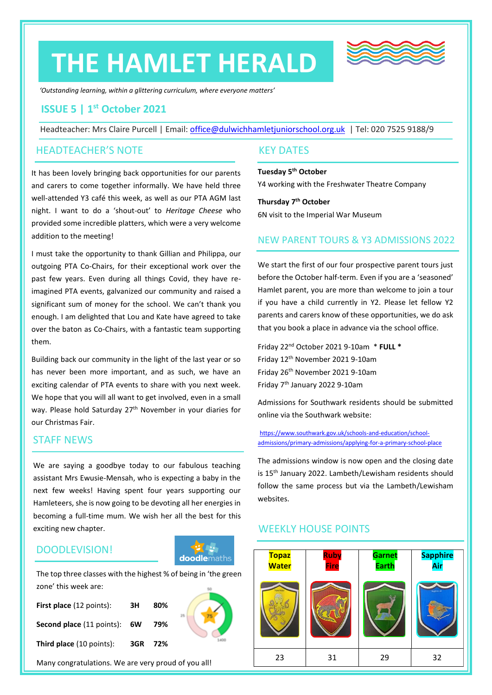# **THE HAMLET HERALD**



*'Outstanding learning, within a glittering curriculum, where everyone matters'*

#### **ISSUE 5 | 1 st October 2021**

Headteacher: Mrs Claire Purcell | Email: [office@dulwichhamletjuniorschool.org.uk](mailto:office@dulwichhamletjuniorschool.org.uk) | Tel: 020 7525 9188/9

#### HEADTEACHER'S NOTE

It has been lovely bringing back opportunities for our parents and carers to come together informally. We have held three well-attended Y3 café this week, as well as our PTA AGM last night. I want to do a 'shout-out' to *Heritage Cheese* who provided some incredible platters, which were a very welcome addition to the meeting!

I must take the opportunity to thank Gillian and Philippa, our outgoing PTA Co-Chairs, for their exceptional work over the past few years. Even during all things Covid, they have reimagined PTA events, galvanized our community and raised a significant sum of money for the school. We can't thank you enough. I am delighted that Lou and Kate have agreed to take over the baton as Co-Chairs, with a fantastic team supporting them.

Building back our community in the light of the last year or so has never been more important, and as such, we have an exciting calendar of PTA events to share with you next week. We hope that you will all want to get involved, even in a small way. Please hold Saturday 27<sup>th</sup> November in your diaries for our Christmas Fair.

#### STAFF NEWS

We are saying a goodbye today to our fabulous teaching assistant Mrs Ewusie-Mensah, who is expecting a baby in the next few weeks! Having spent four years supporting our Hamleteers, she is now going to be devoting all her energies in becoming a full-time mum. We wish her all the best for this exciting new chapter.

#### DOODLEVISION!

## **doodlemaths**

The top three classes with the highest % of being in 'the green zone' this week are:

| First place (12 points):            | ЗH      | 80% |  |
|-------------------------------------|---------|-----|--|
| <b>Second place (11 points): 6W</b> |         | 79% |  |
| Third place (10 points):            | 3GR 72% |     |  |

Many congratulations. We are very proud of you all!

#### KEY DATES

**Tuesday 5 th October** Y4 working with the Freshwater Theatre Company

**Thursday 7 th October** 6N visit to the Imperial War Museum

#### NEW PARENT TOURS & Y3 ADMISSIONS 2022

We start the first of our four prospective parent tours just before the October half-term. Even if you are a 'seasoned' Hamlet parent, you are more than welcome to join a tour if you have a child currently in Y2. Please let fellow Y2 parents and carers know of these opportunities, we do ask that you book a place in advance via the school office.

Friday 22nd October 2021 9-10am \* **FULL \*** Friday 12th November 2021 9-10am Friday 26th November 2021 9-10am Friday 7th January 2022 9-10am

Admissions for Southwark residents should be submitted online via the Southwark website:

[https://www.southwark.gov.uk/schools-and-education/school](https://www.southwark.gov.uk/schools-and-education/school-admissions/primary-admissions/applying-for-a-primary-school-place)[admissions/primary-admissions/applying-for-a-primary-school-place](https://www.southwark.gov.uk/schools-and-education/school-admissions/primary-admissions/applying-for-a-primary-school-place)

The admissions window is now open and the closing date is 15<sup>th</sup> January 2022. Lambeth/Lewisham residents should follow the same process but via the Lambeth/Lewisham websites.

#### WEEKLY HOUSE POINTS

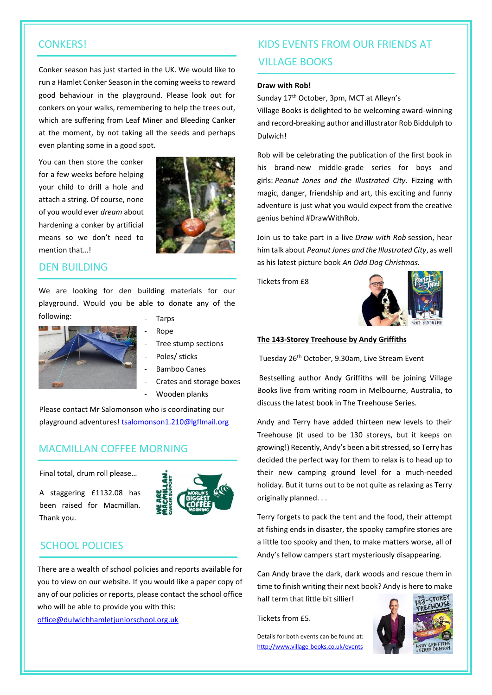#### **CONKERS!**

Conker season has just started in the UK. We would like to run a Hamlet Conker Season in the coming weeks to reward good behaviour in the playground. Please look out for conkers on your walks, remembering to help the trees out, which are suffering from Leaf Miner and Bleeding Canker at the moment, by not taking all the seeds and perhaps even planting some in a good spot.

You can then store the conker for a few weeks before helping your child to drill a hole and attach a string. Of course, none of you would ever *dream* about hardening a conker by artificial means so we don't need to mention that…!



#### DEN BUILDING

We are looking for den building materials for our playground. Would you be able to donate any of the following: **Tarps** 



- 
- Rope
- Tree stump sections
- Poles/ sticks
- Bamboo Canes
- Crates and storage boxes
- Wooden planks

Please contact Mr Salomonson who is coordinating our playground adventures! [tsalomonson1.210@lgflmail.org](mailto:tsalomonson1.210@lgflmail.org)

#### MACMILLAN COFFEE MORNING

Final total, drum roll please…

A staggering £1132.08 has been raised for Macmillan. Thank you.



#### SCHOOL POLICIES

There are a wealth of school policies and reports available for you to view on our website. If you would like a paper copy of any of our policies or reports, please contact the school office who will be able to provide you with this:

[office@dulwichhamletjuniorschool.org.uk](mailto:office@dulwichhamletjuniorschool.org.uk)

### KIDS EVENTS FROM OUR FRIENDS AT VILLAGE BOOKS

#### **Draw with Rob!**

Sunday 17<sup>th</sup> October, 3pm, MCT at Alleyn's

Village Books is delighted to be welcoming award-winning and record-breaking author and illustrator Rob Biddulph to Dulwich!

Rob will be celebrating the publication of the first book in his brand-new middle-grade series for boys and girls: *Peanut Jones and the Illustrated City*. Fizzing with magic, danger, friendship and art, this exciting and funny adventure is just what you would expect from the creative genius behind #DrawWithRob.

Join us to take part in a live *Draw with Rob* session, hear him talk about *Peanut Jones and the Illustrated City*, as well as his latest picture book *An Odd Dog Christmas.*

Tickets from £8



#### **The 143-Storey Treehouse by Andy Griffiths**

Tuesday 26th October, 9.30am, Live Stream Event

Bestselling author Andy Griffiths will be joining Village Books live from writing room in Melbourne, Australia, to discuss the latest book in The Treehouse Series.

Andy and Terry have added thirteen new levels to their Treehouse (it used to be 130 storeys, but it keeps on growing!) Recently, Andy's been a bit stressed, so Terry has decided the perfect way for them to relax is to head up to their new camping ground level for a much-needed holiday. But it turns out to be not quite as relaxing as Terry originally planned. . .

Terry forgets to pack the tent and the food, their attempt at fishing ends in disaster, the spooky campfire stories are a little too spooky and then, to make matters worse, all of Andy's fellow campers start mysteriously disappearing.

Can Andy brave the dark, dark woods and rescue them in time to finish writing their next book? Andy is here to make

half term that little bit sillier!

Tickets from £5.

Details for both events can be found at: <http://www.village-books.co.uk/events>